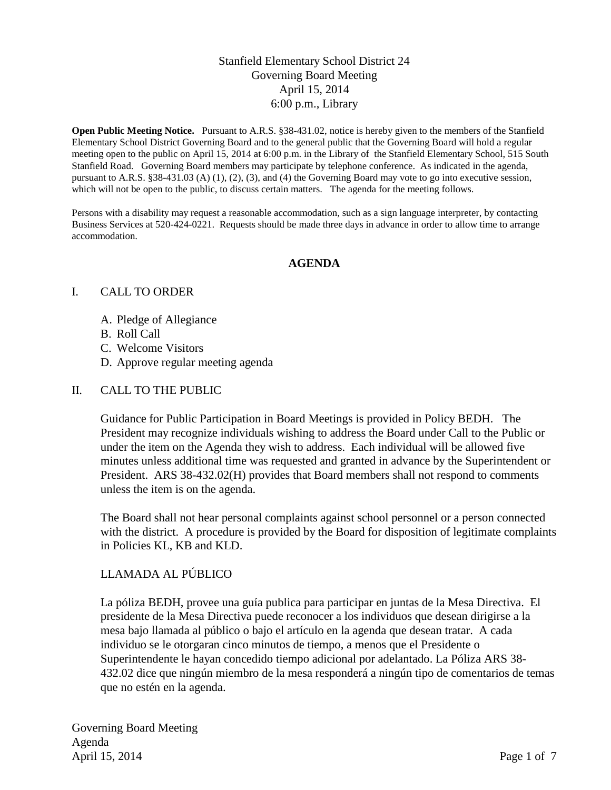## Stanfield Elementary School District 24 Governing Board Meeting April 15, 2014 6:00 p.m., Library

**Open Public Meeting Notice.** Pursuant to A.R.S. §38-431.02, notice is hereby given to the members of the Stanfield Elementary School District Governing Board and to the general public that the Governing Board will hold a regular meeting open to the public on April 15, 2014 at 6:00 p.m. in the Library of the Stanfield Elementary School, 515 South Stanfield Road. Governing Board members may participate by telephone conference. As indicated in the agenda, pursuant to A.R.S. §38-431.03 (A) (1), (2), (3), and (4) the Governing Board may vote to go into executive session, which will not be open to the public, to discuss certain matters. The agenda for the meeting follows.

Persons with a disability may request a reasonable accommodation, such as a sign language interpreter, by contacting Business Services at 520-424-0221. Requests should be made three days in advance in order to allow time to arrange accommodation.

#### **AGENDA**

#### I. CALL TO ORDER

- A. Pledge of Allegiance
- B. Roll Call
- C. Welcome Visitors
- D. Approve regular meeting agenda

#### II. CALL TO THE PUBLIC

Guidance for Public Participation in Board Meetings is provided in Policy BEDH. The President may recognize individuals wishing to address the Board under Call to the Public or under the item on the Agenda they wish to address. Each individual will be allowed five minutes unless additional time was requested and granted in advance by the Superintendent or President. ARS 38-432.02(H) provides that Board members shall not respond to comments unless the item is on the agenda.

The Board shall not hear personal complaints against school personnel or a person connected with the district. A procedure is provided by the Board for disposition of legitimate complaints in Policies KL, KB and KLD.

#### LLAMADA AL PÚBLICO

La póliza BEDH, provee una guía publica para participar en juntas de la Mesa Directiva. El presidente de la Mesa Directiva puede reconocer a los individuos que desean dirigirse a la mesa bajo llamada al público o bajo el artículo en la agenda que desean tratar. A cada individuo se le otorgaran cinco minutos de tiempo, a menos que el Presidente o Superintendente le hayan concedido tiempo adicional por adelantado. La Póliza ARS 38- 432.02 dice que ningún miembro de la mesa responderá a ningún tipo de comentarios de temas que no estén en la agenda.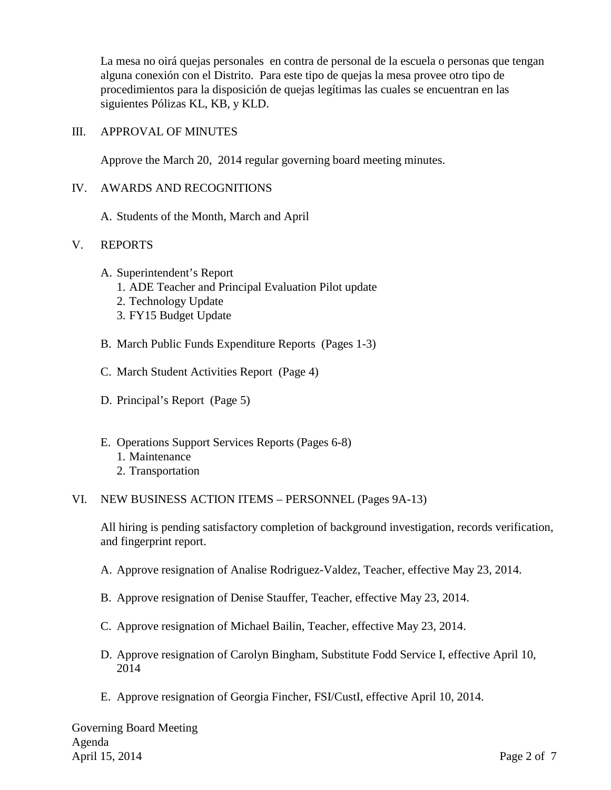La mesa no oirá quejas personales en contra de personal de la escuela o personas que tengan alguna conexión con el Distrito. Para este tipo de quejas la mesa provee otro tipo de procedimientos para la disposición de quejas legítimas las cuales se encuentran en las siguientes Pólizas KL, KB, y KLD.

#### III. APPROVAL OF MINUTES

Approve the March 20, 2014 regular governing board meeting minutes.

#### IV. AWARDS AND RECOGNITIONS

A. Students of the Month, March and April

#### V. REPORTS

- A. Superintendent's Report
	- 1. ADE Teacher and Principal Evaluation Pilot update
	- 2. Technology Update
	- 3. FY15 Budget Update
- B. March Public Funds Expenditure Reports (Pages 1-3)
- C. March Student Activities Report (Page 4)
- D. Principal's Report (Page 5)
- E. Operations Support Services Reports (Pages 6-8) 1. Maintenance 2. Transportation

#### VI. NEW BUSINESS ACTION ITEMS – PERSONNEL (Pages 9A-13)

All hiring is pending satisfactory completion of background investigation, records verification, and fingerprint report.

- A. Approve resignation of Analise Rodriguez-Valdez, Teacher, effective May 23, 2014.
- B. Approve resignation of Denise Stauffer, Teacher, effective May 23, 2014.
- C. Approve resignation of Michael Bailin, Teacher, effective May 23, 2014.
- D. Approve resignation of Carolyn Bingham, Substitute Fodd Service I, effective April 10, 2014
- E. Approve resignation of Georgia Fincher, FSI/CustI, effective April 10, 2014.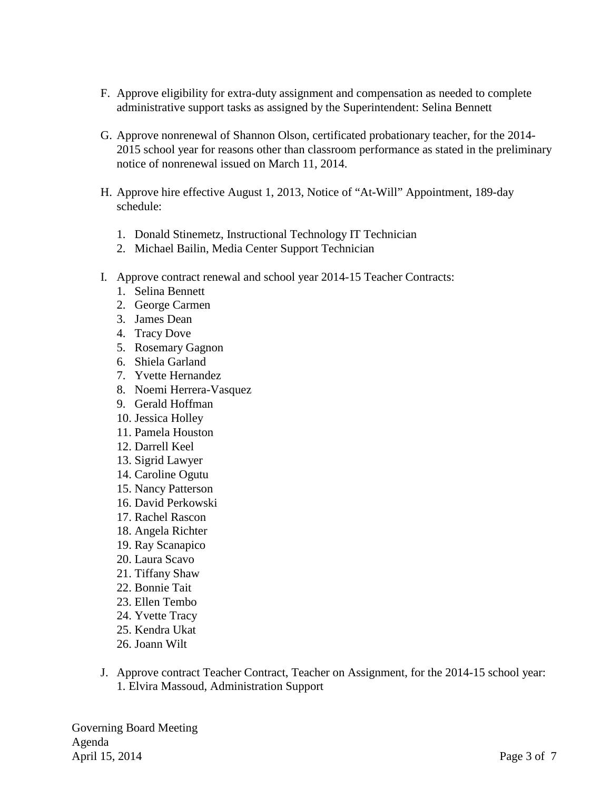- F. Approve eligibility for extra-duty assignment and compensation as needed to complete administrative support tasks as assigned by the Superintendent: Selina Bennett
- G. Approve nonrenewal of Shannon Olson, certificated probationary teacher, for the 2014- 2015 school year for reasons other than classroom performance as stated in the preliminary notice of nonrenewal issued on March 11, 2014.
- H. Approve hire effective August 1, 2013, Notice of "At-Will" Appointment, 189-day schedule:
	- 1. Donald Stinemetz, Instructional Technology IT Technician
	- 2. Michael Bailin, Media Center Support Technician
- I. Approve contract renewal and school year 2014-15 Teacher Contracts:
	- 1. Selina Bennett
	- 2. George Carmen
	- 3. James Dean
	- 4. Tracy Dove
	- 5. Rosemary Gagnon
	- 6. Shiela Garland
	- 7. Yvette Hernandez
	- 8. Noemi Herrera-Vasquez
	- 9. Gerald Hoffman
	- 10. Jessica Holley
	- 11. Pamela Houston
	- 12. Darrell Keel
	- 13. Sigrid Lawyer
	- 14. Caroline Ogutu
	- 15. Nancy Patterson
	- 16. David Perkowski
	- 17. Rachel Rascon
	- 18. Angela Richter
	- 19. Ray Scanapico
	- 20. Laura Scavo
	- 21. Tiffany Shaw
	- 22. Bonnie Tait
	- 23. Ellen Tembo
	- 24. Yvette Tracy
	- 25. Kendra Ukat
	- 26. Joann Wilt
- J. Approve contract Teacher Contract, Teacher on Assignment, for the 2014-15 school year: 1. Elvira Massoud, Administration Support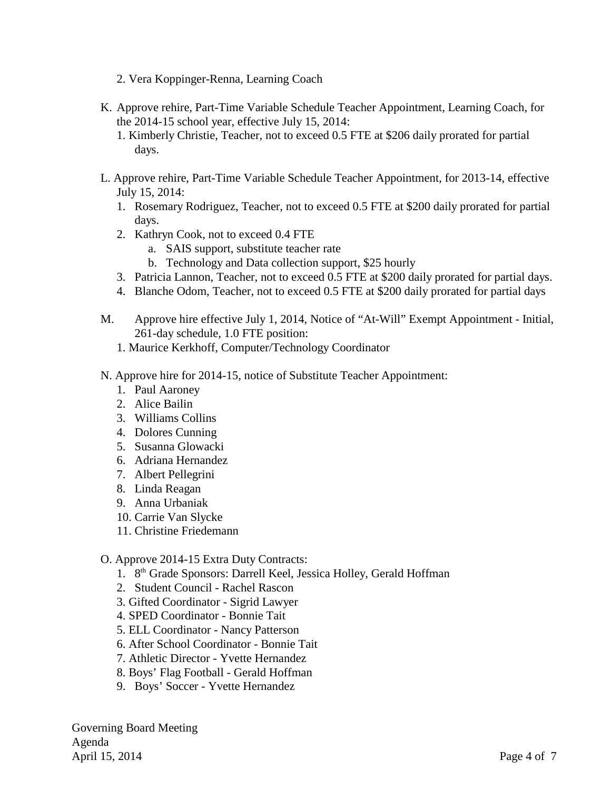- 2. Vera Koppinger-Renna, Learning Coach
- K. Approve rehire, Part-Time Variable Schedule Teacher Appointment, Learning Coach, for the 2014-15 school year, effective July 15, 2014:
	- 1. Kimberly Christie, Teacher, not to exceed 0.5 FTE at \$206 daily prorated for partial days.
- L. Approve rehire, Part-Time Variable Schedule Teacher Appointment, for 2013-14, effective July 15, 2014:
	- 1. Rosemary Rodriguez, Teacher, not to exceed 0.5 FTE at \$200 daily prorated for partial days.
	- 2. Kathryn Cook, not to exceed 0.4 FTE
		- a. SAIS support, substitute teacher rate
		- b. Technology and Data collection support, \$25 hourly
	- 3. Patricia Lannon, Teacher, not to exceed 0.5 FTE at \$200 daily prorated for partial days.
	- 4. Blanche Odom, Teacher, not to exceed 0.5 FTE at \$200 daily prorated for partial days
- M. Approve hire effective July 1, 2014, Notice of "At-Will" Exempt Appointment Initial, 261-day schedule, 1.0 FTE position:
	- 1. Maurice Kerkhoff, Computer/Technology Coordinator
- N. Approve hire for 2014-15, notice of Substitute Teacher Appointment:
	- 1. Paul Aaroney
	- 2. Alice Bailin
	- 3. Williams Collins
	- 4. Dolores Cunning
	- 5. Susanna Glowacki
	- 6. Adriana Hernandez
	- 7. Albert Pellegrini
	- 8. Linda Reagan
	- 9. Anna Urbaniak
	- 10. Carrie Van Slycke
	- 11. Christine Friedemann
- O. Approve 2014-15 Extra Duty Contracts:
	- 1. 8<sup>th</sup> Grade Sponsors: Darrell Keel, Jessica Holley, Gerald Hoffman
	- 2. Student Council Rachel Rascon
	- 3. Gifted Coordinator Sigrid Lawyer
	- 4. SPED Coordinator Bonnie Tait
	- 5. ELL Coordinator Nancy Patterson
	- 6. After School Coordinator Bonnie Tait
	- 7. Athletic Director Yvette Hernandez
	- 8. Boys' Flag Football Gerald Hoffman
	- 9. Boys' Soccer Yvette Hernandez

Governing Board Meeting Agenda April 15, 2014 Page 4 of 7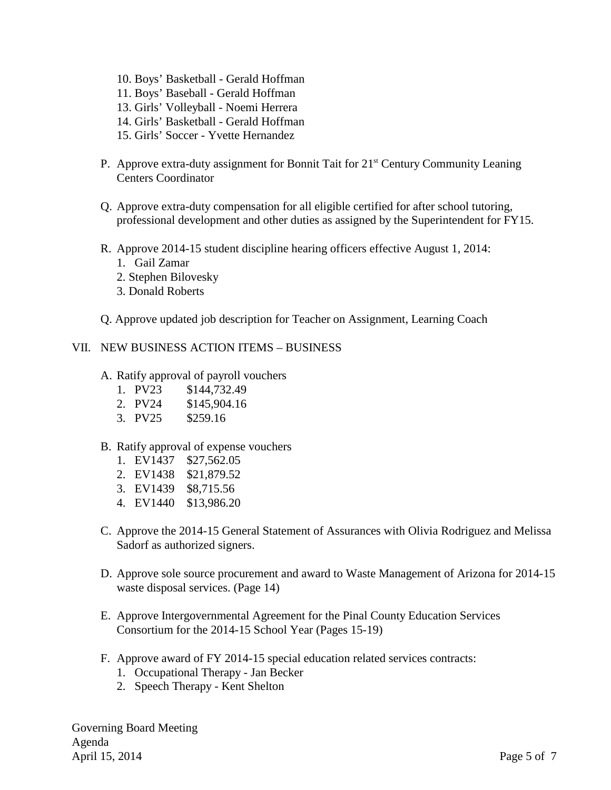- 10. Boys' Basketball Gerald Hoffman
- 11. Boys' Baseball Gerald Hoffman
- 13. Girls' Volleyball Noemi Herrera
- 14. Girls' Basketball Gerald Hoffman
- 15. Girls' Soccer Yvette Hernandez
- P. Approve extra-duty assignment for Bonnit Tait for  $21<sup>st</sup>$  Century Community Leaning Centers Coordinator
- Q. Approve extra-duty compensation for all eligible certified for after school tutoring, professional development and other duties as assigned by the Superintendent for FY15.
- R. Approve 2014-15 student discipline hearing officers effective August 1, 2014:
	- 1. Gail Zamar
	- 2. Stephen Bilovesky
	- 3. Donald Roberts
- Q. Approve updated job description for Teacher on Assignment, Learning Coach

### VII. NEW BUSINESS ACTION ITEMS – BUSINESS

- A. Ratify approval of payroll vouchers
	- 1. PV23 \$144,732.49
	- 2. PV24 \$145,904.16
	- 3. PV25 \$259.16

#### B. Ratify approval of expense vouchers

- 1. EV1437 \$27,562.05
- 2. EV1438 \$21,879.52
- 3. EV1439 \$8,715.56
- 4. EV1440 \$13,986.20
- C. Approve the 2014-15 General Statement of Assurances with Olivia Rodriguez and Melissa Sadorf as authorized signers.
- D. Approve sole source procurement and award to Waste Management of Arizona for 2014-15 waste disposal services. (Page 14)
- E. Approve Intergovernmental Agreement for the Pinal County Education Services Consortium for the 2014-15 School Year (Pages 15-19)
- F. Approve award of FY 2014-15 special education related services contracts:
	- 1. Occupational Therapy Jan Becker
	- 2. Speech Therapy Kent Shelton

Governing Board Meeting Agenda April 15, 2014 Page 5 of 7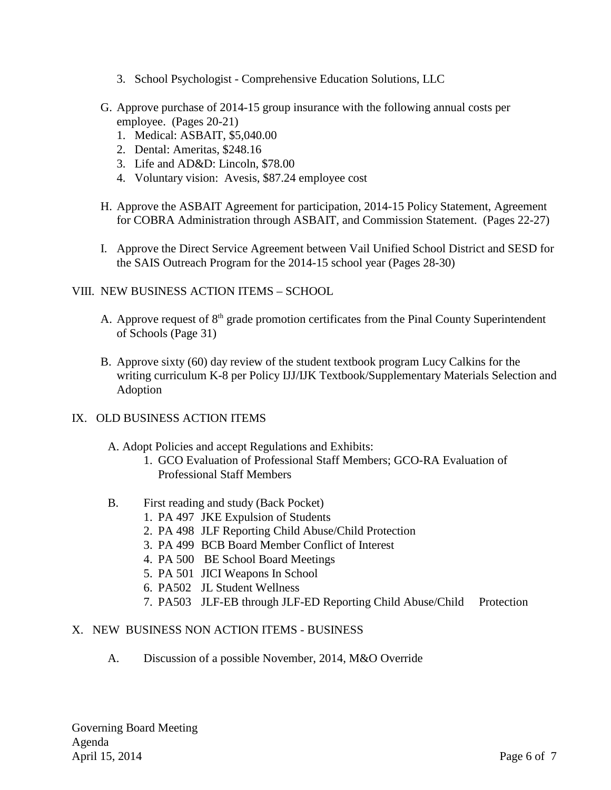- 3. School Psychologist Comprehensive Education Solutions, LLC
- G. Approve purchase of 2014-15 group insurance with the following annual costs per employee. (Pages 20-21)
	- 1. Medical: ASBAIT, \$5,040.00
	- 2. Dental: Ameritas, \$248.16
	- 3. Life and AD&D: Lincoln, \$78.00
	- 4. Voluntary vision: Avesis, \$87.24 employee cost
- H. Approve the ASBAIT Agreement for participation, 2014-15 Policy Statement, Agreement for COBRA Administration through ASBAIT, and Commission Statement. (Pages 22-27)
- I. Approve the Direct Service Agreement between Vail Unified School District and SESD for the SAIS Outreach Program for the 2014-15 school year (Pages 28-30)

## VIII. NEW BUSINESS ACTION ITEMS – SCHOOL

- A. Approve request of  $8<sup>th</sup>$  grade promotion certificates from the Pinal County Superintendent of Schools (Page 31)
- B. Approve sixty (60) day review of the student textbook program Lucy Calkins for the writing curriculum K-8 per Policy IJJ/IJK Textbook/Supplementary Materials Selection and Adoption

## IX. OLD BUSINESS ACTION ITEMS

- A. Adopt Policies and accept Regulations and Exhibits:
	- 1. GCO Evaluation of Professional Staff Members; GCO-RA Evaluation of Professional Staff Members
- B. First reading and study (Back Pocket)
	- 1. PA 497 JKE Expulsion of Students
	- 2. PA 498 JLF Reporting Child Abuse/Child Protection
	- 3. PA 499 BCB Board Member Conflict of Interest
	- 4. PA 500 BE School Board Meetings
	- 5. PA 501 JICI Weapons In School
	- 6. PA502 JL Student Wellness
	- 7. PA503 JLF-EB through JLF-ED Reporting Child Abuse/Child Protection

## X. NEW BUSINESS NON ACTION ITEMS - BUSINESS

A. Discussion of a possible November, 2014, M&O Override